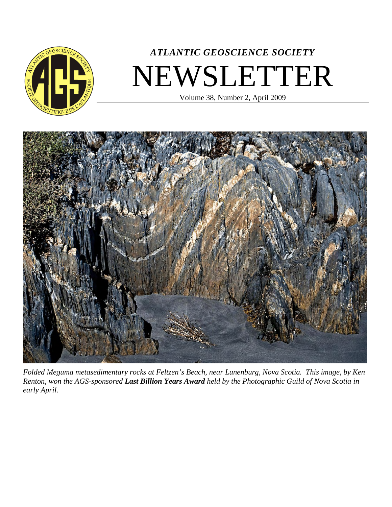

# *ATLANTIC GEOSCIENCE SOCIETY* NEWSLETTER

Volume 38, Number 2, April 2009



*Folded Meguma metasedimentary rocks at Feltzen's Beach, near Lunenburg, Nova Scotia. This image, by Ken Renton, won the AGS-sponsored Last Billion Years Award held by the Photographic Guild of Nova Scotia in early April.*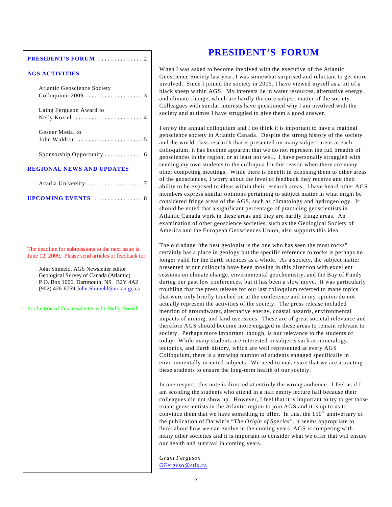#### **PRESIDENT'S FORUM ..............** 2

#### **AGS ACTIVITIES**

| <b>Atlantic Geoscience Society</b><br>Colloquium 2009  3          |  |
|-------------------------------------------------------------------|--|
| Laing Ferguson Award to                                           |  |
| Gesner Medal to<br>John Waldron $\dots\dots\dots\dots\dots\dots5$ |  |
| Sponsorship Opportunity 6                                         |  |
| <b>REGIONAL NEWS AND UPDATES</b>                                  |  |
|                                                                   |  |
| UPCOMING EVENTS  8                                                |  |
|                                                                   |  |
|                                                                   |  |
|                                                                   |  |

The deadline for submissions to the next issue is June 12, 2009. Please send articles or feedback to:

John Shimeld, AGS Newsletter editor Geological Survey of Canada (Atlantic) P.O. Box 1006, Dartmouth, NS B2Y 4A2 (902) 426-6759 [John.Shimeld@nrcan.gc.ca](#page-1-0)

Production of this newsletter is by Nelly Koziel.

# **PRESIDENT'S FORUM**

When I was asked to become involved with the executive of the Atlantic Geoscience Society last year, I was somewhat surprised and reluctant to get more involved. Since I joined the society in 2005, I have viewed myself as a bit of a black sheep within AGS. My interests lie in water resources, alternative energy, and climate change, which are hardly the core subject matter of the society. Colleagues with similar interests have questioned why I am involved with the society and at times I have struggled to give them a good answer.

I enjoy the annual colloquium and I do think it is important to have a regional geoscience society in Atlantic Canada. Despite the strong history of the society and the world-class research that is presented on many subject areas at each colloquium, it has become apparent that we do not represent the full breadth of geosciences in the region, or at least not well. I have personally struggled with sending my own students to the colloquia for this reason when there are many other competing meetings. While there is benefit in exposing them to other areas of the geosciences, I worry about the level of feedback they receive and their ability to be exposed to ideas within their research areas. I have heard other AGS members express similar opinions pertaining to subject matter in what might be considered fringe areas of the AGS, such as climatology and hydrogeology. It should be noted that a significant percentage of practicing geoscientists in Atlantic Canada work in these areas and they are hardly fringe areas. An examination of other geoscience societies, such as the Geological Society of America and the European Geosciences Union, also supports this idea.

The old adage "the best geologist is the one who has seen the most rocks" certainly has a place in geology but the specific reference to rocks is perhaps no longer valid for the Earth sciences as a whole. As a society, the subject matter presented at our colloquia have been moving in this direction with excellent sessions on climate change, environmental geochemistry, and the Bay of Fundy during our past few conferences, but it has been a slow move. It was particularly troubling that the press release for our last colloquium referred to many topics that were only briefly touched on at the conference and in my opinion do not actually represent the activities of the society. The press release included mention of groundwater, alternative energy, coastal hazards, environmental impacts of mining, and land use issues. These are of great societal relevance and therefore AGS should become more engaged in these areas to remain relevant to society. Perhaps more important, though, is our relevance to the students of today. While many students are interested in subjects such as mineralogy, tectonics, and Earth history, which are well represented at every AGS Colloquium, there is a growing number of students engaged specifically in environmentally-oriented subjects. We need to make sure that we are attracting these students to ensure the long-term health of our society.

In one respect, this note is directed at entirely the wrong audience. I feel as if I am scolding the students who attend in a half empty lecture hall because their colleagues did not show up. However, I feel that it is important to try to get those truant geoscientists in the Atlantic region to join AGS and it is up to us to convince them that we have something to offer. In this, the  $150<sup>th</sup>$  anniversary of the publication of Darwin's "*The Origin of Species"*, it seems appropriate to think about how we can evolve in the coming years. AGS is competing with many other societies and it is important to consider what we offer that will ensure our health and survival in coming years.

<span id="page-1-0"></span>*Grant Ferguson* GFerguso@stfx.ca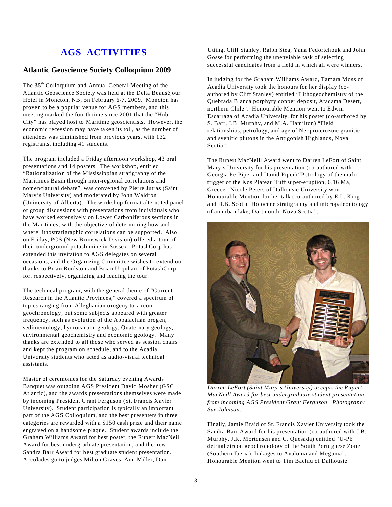# **AGS ACTIVITIES**

### **Atlantic Geoscience Society Colloquium 2009**

The 35<sup>th</sup> Colloquium and Annual General Meeting of the Atlantic Geoscience Society was held at the Delta Beauséjour Hotel in Moncton, NB, on February 6-7, 2009. Moncton has proven to be a popular venue for AGS members, and this meeting marked the fourth time since 2001 that the "Hub City" has played host to Maritime geoscientists. However, the economic recession may have taken its toll, as the number of attendees was diminished from previous years, with 132 registrants, including 41 students.

The program included a Friday afternoon workshop, 43 oral presentations and 14 posters. The workshop, entitled "Rationalization of the Mississippian stratigraphy of the Maritimes Basin through inter-regional correlations and nomenclatural debate", was convened by Pierre Jutras (Saint Mary's University) and moderated by John Waldron (University of Alberta). The workshop format alternated panel or group discussions with presentations from individuals who have worked extensively on Lower Carboniferous sections in the Maritimes, with the objective of determining how and where lithostratigraphic correlations can be supported. Also on Friday, PCS (New Brunswick Division) offered a tour of their underground potash mine in Sussex. PotashCorp has extended this invitation to AGS delegates on several occasions, and the Organizing Committee wishes to extend our thanks to Brian Roulston and Brian Urquhart of PotashCorp for, respectively, organizing and leading the tour.

The technical program, with the general theme of "Current Research in the Atlantic Provinces," covered a spectrum of topics ranging from Alleghanian orogeny to zircon geochronology, but some subjects appeared with greater frequency, such as evolution of the Appalachian orogen, sedimentology, hydrocarbon geology, Quaternary geology, environmental geochemistry and economic geology. Many thanks are extended to all those who served as session chairs and kept the program on schedule, and to the Acadia University students who acted as audio-visual technical assistants.

Master of ceremonies for the Saturday evening Awards Banquet was outgoing AGS President David Mosher (GSC Atlantic), and the awards presentations themselves were made by incoming President Grant Ferguson (St. Francis Xavier University). Student participation is typically an important part of the AGS Colloquium, and the best presenters in three categories are rewarded with a \$150 cash prize and their name engraved on a handsome plaque. Student awards include the Graham Williams Award for best poster, the Rupert MacNeill Award for best undergraduate presentation, and the new Sandra Barr Award for best graduate student presentation. Accolades go to judges Milton Graves, Ann Miller, Dan

Utting, Cliff Stanley, Ralph Stea, Yana Fedortchouk and John Gosse for performing the unenviable task of selecting successful candidates from a field in which all were winners.

In judging for the Graham Williams Award, Tamara Moss of Acadia University took the honours for her display (coauthored by Cliff Stanley) entitled "Lithogeochemistry of the Quebrada Blanca porphyry copper deposit, Atacama Desert, northern Chile". Honourable Mention went to Edwin Escarraga of Acadia University, for his poster (co-authored by S. Barr, J.B. Murphy, and M.A. Hamilton) "Field relationships, petrology, and age of Neoproterozoic granitic and syenitic plutons in the Antigonish Highlands, Nova Scotia".

The Rupert MacNeill Award went to Darren LeFort of Saint Mary's University for his presentation (co-authored with Georgia Pe-Piper and David Piper) "Petrology of the mafic trigger of the Kos Plateau Tuff super-eruption, 0.16 Ma, Greece. Nicole Peters of Dalhousie University won Honourable Mention for her talk (co-authored by E.L. King and D.B. Scott) "Holocene stratigraphy and micropaleontology of an urban lake, Dartmouth, Nova Scotia".



*Darren LeFort (Saint Mary's University) accepts the Rupert MacNeill Award for best undergraduate student presentation from incoming AGS President Grant Ferguson*. *Photograph: Sue Johnson.*

Finally, Jamie Braid of St. Francis Xavier University took the Sandra Barr Award for his presentation (co-authored with J.B. Murphy, J.K. Mortensen and C. Quesada) entitled "U-Pb detrital zircon geochronology of the South Portuguese Zone (Southern Iberia): linkages to Avalonia and Meguma". Honourable Mention went to Tim Bachiu of Dalhousie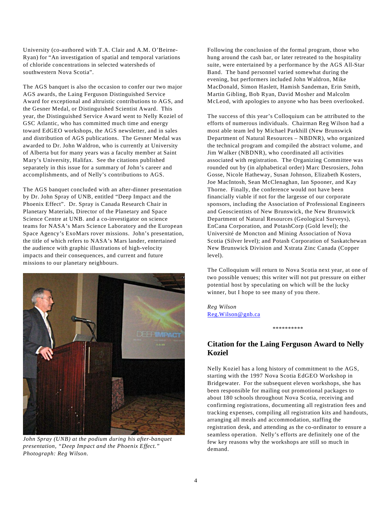University (co-authored with T.A. Clair and A.M. O'Beirne-Ryan) for "An investigation of spatial and temporal variations of chloride concentrations in selected watersheds of southwestern Nova Scotia".

The AGS banquet is also the occasion to confer our two major AGS awards, the Laing Ferguson Distinguished Service Award for exceptional and altruistic contributions to AGS, and the Gesner Medal, or Distinguished Scientist Award. This year, the Distinguished Service Award went to Nelly Koziel of GSC Atlantic, who has committed much time and energy toward EdGEO workshops, the AGS newsletter, and in sales and distribution of AGS publications. The Gesner Medal was awarded to Dr. John Waldron, who is currently at University of Alberta but for many years was a faculty member at Saint Mary's University, Halifax. See the citations published separately in this issue for a summary of John's career and accomplishments, and of Nelly's contributions to AGS.

The AGS banquet concluded with an after-dinner presentation by Dr. John Spray of UNB, entitled "Deep Impact and the Phoenix Effect". Dr. Spray is Canada Research Chair in Planetary Materials, Director of the Planetary and Space Science Centre at UNB. and a co-investigator on science teams for NASA's Mars Science Laboratory and the European Space Agency's ExoMars rover missions. John's presentation, the title of which refers to NASA's Mars lander, entertained the audience with graphic illustrations of high-velocity impacts and their consequences, and current and future missions to our planetary neighbours.



*John Spray (UNB) at the podium during his after-banquet presentation, "Deep Impact and the Phoenix Effect." Photograph: Reg Wilson.*

Following the conclusion of the formal program, those who hung around the cash bar, or later retreated to the hospitality suite, were entertained by a performance by the AGS All-Star Band. The band personnel varied somewhat during the evening, but performers included John Waldron, Mike MacDonald, Simon Haslett, Hamish Sandeman, Erin Smith, Martin Gibling, Bob Ryan, David Mosher and Malcolm McLeod, with apologies to anyone who has been overlooked.

The success of this year's Colloquium can be attributed to the efforts of numerous individuals. Chairman Reg Wilson had a most able team led by Michael Parkhill (New Brunswick Department of Natural Resources – NBDNR), who organized the technical program and compiled the abstract volume, and Jim Walker (NBDNR), who coordinated all activities associated with registration. The Organizing Committee was rounded out by (in alphabetical order) Marc Desrosiers, John Gosse, Nicole Hatheway, Susan Johnson, Elizabeth Kosters, Joe MacIntosh, Sean McClenaghan, Ian Spooner, and Kay Thorne. Finally, the conference would not have been financially viable if not for the largesse of our corporate sponsors, including the Association of Professional Engineers and Geoscientists of New Brunswick, the New Brunswick Department of Natural Resources (Geological Surveys), EnCana Corporation, and PotashCorp (Gold level); the Université de Moncton and Mining Association of Nova Scotia (Silver level); and Potash Corporation of Saskatchewan New Brunswick Division and Xstrata Zinc Canada (Copper level).

The Colloquium will return to Nova Scotia next year, at one of two possible venues; this writer will not put pressure on either potential host by speculating on which will be the lucky winner, but I hope to see many of you there.

*Reg Wilson* Reg.Wilson@gnb.ca

### **Citation for the Laing Ferguson Award to Nelly Koziel**

\*\*\*\*\*\*\*\*\*\*

Nelly Koziel has a long history of commitment to the AGS, starting with the 1997 Nova Scotia EdGEO Workshop in Bridgewater. For the subsequent eleven workshops, she has been responsible for mailing out promotional packages to about 180 schools throughout Nova Scotia, receiving and confirming registrations, documenting all registration fees and tracking expenses, compiling all registration kits and handouts, arranging all meals and accommodation, staffing the registration desk, and attending as the co-ordinator to ensure a seamless operation. Nelly's efforts are definitely one of the few key reasons why the workshops are still so much in demand.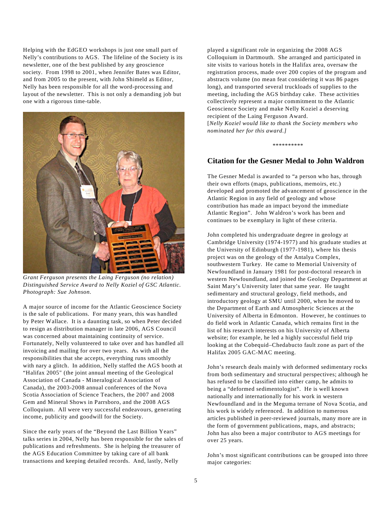Helping with the EdGEO workshops is just one small part of Nelly's contributions to AGS. The lifeline of the Society is its newsletter, one of the best published by any geoscience society. From 1998 to 2001, when Jennifer Bates was Editor, and from 2005 to the present, with John Shimeld as Editor, Nelly has been responsible for all the word-processing and layout of the newsletter. This is not only a demanding job but one with a rigorous time-table.



*Grant Ferguson presents the Laing Ferguson (no relation) Distinguished Service Award to Nelly Koziel of GSC Atlantic. Photograph: Sue Johnson.*

A major source of income for the Atlantic Geoscience Society is the sale of publications. For many years, this was handled by Peter Wallace. It is a daunting task, so when Peter decided to resign as distribution manager in late 2006, AGS Council was concerned about maintaining continuity of service. Fortunately, Nelly volunteered to take over and has handled all invoicing and mailing for over two years. As with all the responsibilities that she accepts, everything runs smoothly with nary a glitch. In addition, Nelly staffed the AGS booth at "Halifax 2005" (the joint annual meeting of the Geological Association of Canada - Mineralogical Association of Canada), the 2003-2008 annual conferences of the Nova Scotia Association of Science Teachers, the 2007 and 2008 Gem and Mineral Shows in Parrsboro, and the 2008 AGS Colloquium. All were very successful endeavours, generating income, publicity and goodwill for the Society.

Since the early years of the "Beyond the Last Billion Years" talks series in 2004, Nelly has been responsible for the sales of publications and refreshments. She is helping the treasurer of the AGS Education Committee by taking care of all bank transactions and keeping detailed records. And, lastly, Nelly

played a significant role in organizing the 2008 AGS Colloquium in Dartmouth. She arranged and participated in site visits to various hotels in the Halifax area, oversaw the registration process, made over 200 copies of the program and abstracts volume (no mean feat considering it was 86 pages long), and transported several truckloads of supplies to the meeting, including the AGS birthday cake. These activities collectively represent a major commitment to the Atlantic Geoscience Society and make Nelly Koziel a deserving recipient of the Laing Ferguson Award.

[*Nelly Koziel would like to thank the Society members who nominated her for this award.]*

\*\*\*\*\*\*\*\*\*\*

#### **Citation for the Gesner Medal to John Waldron**

The Gesner Medal is awarded to "a person who has, through their own efforts (maps, publications, memoirs, etc.) developed and promoted the advancement of geoscience in the Atlantic Region in any field of geology and whose contribution has made an impact beyond the immediate Atlantic Region". John Waldron's work has been and continues to be exemplary in light of these criteria.

John completed his undergraduate degree in geology at Cambridge University (1974-1977) and his graduate studies at the University of Edinburgh (1977-1981), where his thesis project was on the geology of the Antalya Complex, southwestern Turkey. He came to Memorial University of Newfoundland in January 1981 for post-doctoral research in western Newfoundland, and joined the Geology Department at Saint Mary's University later that same year. He taught sedimentary and structural geology, field methods, and introductory geology at SMU until 2000, when he moved to the Department of Earth and Atmospheric Sciences at the University of Alberta in Edmonton. However, he continues to do field work in Atlantic Canada, which remains first in the list of his research interests on his University of Alberta website; for example, he led a highly successful field trip looking at the Cobequid–Chedabucto fault zone as part of the Halifax 2005 GAC-MAC meeting.

John's research deals mainly with deformed sedimentary rocks from both sedimentary and structural perspectives; although he has refused to be classified into either camp, he admits to being a "deformed sedimentologist". He is well known nationally and internationally for his work in western Newfoundland and in the Meguma terrane of Nova Scotia, and his work is widely referenced. In addition to numerous articles published in peer-reviewed journals, many more are in the form of government publications, maps, and abstracts; John has also been a major contributor to AGS meetings for over 25 years.

John's most significant contributions can be grouped into three major categories: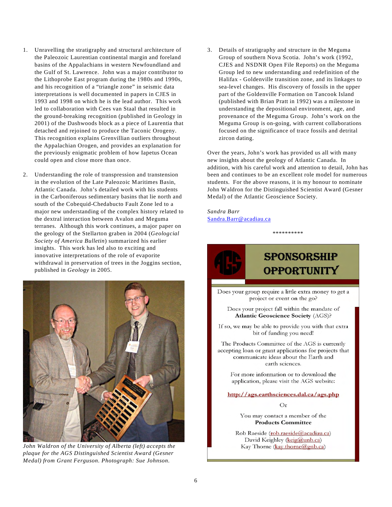- 1. Unravelling the stratigraphy and structural architecture of the Paleozoic Laurentian continental margin and foreland basins of the Appalachians in western Newfoundland and the Gulf of St. Lawrence. John was a major contributor to the Lithoprobe East program during the 1980s and 1990s, and his recognition of a "triangle zone" in seismic data interpretations is well documented in papers in CJES in 1993 and 1998 on which he is the lead author. This work led to collaboration with Cees van Staal that resulted in the ground-breaking recognition (published in Geology in 2001) of the Dashwoods block as a piece of Laurentia that detached and rejoined to produce the Taconic Orogeny. This recognition explains Grenvillian outliers throughout the Appalachian Orogen, and provides an explanation for the previously enigmatic problem of how Iapetus Ocean could open and close more than once.
- 2. Understanding the role of transpression and transtension in the evolution of the Late Paleozoic Maritimes Basin, Atlantic Canada. John's detailed work with his students in the Carboniferous sedimentary basins that lie north and south of the Cobequid-Chedabucto Fault Zone led to a major new understanding of the complex history related to the dextral interaction between Avalon and Meguma terranes. Although this work continues, a major paper on the geology of the Stellarton graben in 2004 (*Geologcial Society of America Bulletin*) summarized his earlier insights. This work has led also to exciting and innovative interpretations of the role of evaporite withdrawal in preservation of trees in the Joggins section, published in *Geology* in 2005.



*John Waldron of the University of Alberta (left) accepts the plaque for the AGS Distinguished Scientist Award (Gesner Medal) from Grant Ferguson. Photograph: Sue Johnson.*

3. Details of stratigraphy and structure in the Meguma Group of southern Nova Scotia. John's work (1992, CJES and NSDNR Open File Reports) on the Meguma Group led to new understanding and redefinition of the Halifax - Goldenville transition zone, and its linkages to sea-level changes. His discovery of fossils in the upper part of the Goldenville Formation on Tancook Island (published with Brian Pratt in 1992) was a milestone in understanding the depositional environment, age, and provenance of the Meguma Group. John's work on the Meguma Group is on-going, with current collaborations focused on the significance of trace fossils and detrital zircon dating.

Over the years, John's work has provided us all with many new insights about the geology of Atlantic Canada. In addition, with his careful work and attention to detail, John has been and continues to be an excellent role model for numerous students. For the above reasons, it is my honour to nominate John Waldron for the Distinguished Scientist Award (Gesner Medal) of the Atlantic Geoscience Society.

\*\*\*\*\*\*\*\*\*\*

*Sandra Barr* Sandra.Barr@acadiau.ca



# **SPONSORSHIP OPPORTUNITY**

Does your group require a little extra money to get a project or event on the go?

Does your project fall within the mandate of **Atlantic Geoscience Society (AGS)?** 

If so, we may be able to provide you with that extra bit of funding you need!

The Products Committee of the AGS is currently accepting loan or grant applications for projects that communicate ideas about the Earth and earth sciences.

For more information or to download the application, please visit the AGS website:

http://ags.earthsciences.dal.ca/ags.php

 $O<sub>r</sub>$ 

You may contact a member of the **Products Committee** 

Rob Raeside (rob.raeside@acadiau.ca) David Keighley (keig@unb.ca) Kay Thorne (kay.thorne@gnb.ca)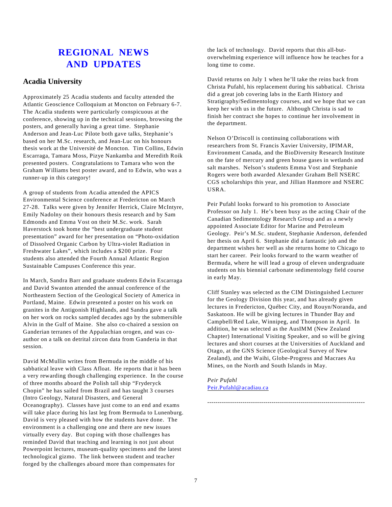# **REGIONAL NEWS AND UPDATES**

### **Acadia University**

Approximately 25 Acadia students and faculty attended the Atlantic Geoscience Colloquium at Moncton on February 6-7. The Acadia students were particularly conspicuous at the conference, showing up in the technical sessions, browsing the posters, and generally having a great time. Stephanie Anderson and Jean-Luc Pilote both gave talks, Stephanie's based on her M.Sc. research, and Jean-Luc on his honours thesis work at the Université de Moncton. Tim Collins, Edwin Escarraga, Tamara Moss, Pizye Nankamba and Meredith Roik presented posters. Congratulations to Tamara who won the Graham Williams best poster award, and to Edwin, who was a runner-up in this category!

A group of students from Acadia attended the APICS Environmental Science conference at Fredericton on March 27-28. Talks were given by Jennifer Herrick, Claire McIntyre, Emily Nadolny on their honours thesis research and by Sam Edmonds and Emma Vost on their M.Sc. work. Sarah Haverstock took home the "best undergraduate student presentation" award for her presentation on "Photo-oxidation of Dissolved Organic Carbon by Ultra-violet Radiation in Freshwater Lakes", which includes a \$200 prize. Four students also attended the Fourth Annual Atlantic Region Sustainable Campuses Conference this year.

In March, Sandra Barr and graduate students Edwin Escarraga and David Swanton attended the annual conference of the Northeastern Section of the Geological Society of America in Portland, Maine. Edwin presented a poster on his work on granites in the Antigonish Highlands, and Sandra gave a talk on her work on rocks sampled decades ago by the submersible Alvin in the Gulf of Maine. She also co-chaired a session on Ganderian terranes of the Appalachian orogen, and was coauthor on a talk on detrital zircon data from Ganderia in that session.

David McMullin writes from Bermuda in the middle of his sabbatical leave with Class Afloat. He reports that it has been a very rewarding though challenging experience. In the course of three months aboard the Polish tall ship "Fryderyck Chopin" he has sailed from Brazil and has taught 3 courses (Intro Geology, Natural Disasters, and General Oceanography). Classes have just come to an end and exams will take place during his last leg from Bermuda to Lunenburg. David is very pleased with how the students have done. The environment is a challenging one and there are new issues virtually every day. But coping with those challenges has reminded David that teaching and learning is not just about Powerpoint lectures, museum-quality specimens and the latest technological gizmo. The link between student and teacher forged by the challenges aboard more than compensates for

the lack of technology. David reports that this all-butoverwhelming experience will influence how he teaches for a long time to come.

David returns on July 1 when he'll take the reins back from Christa Pufahl, his replacement during his sabbatical. Christa did a great job covering labs in the Earth History and Stratigraphy/Sedimentology courses, and we hope that we can keep her with us in the future. Although Christa is sad to finish her contract she hopes to continue her involvement in the department.

Nelson O'Driscoll is continuing collaborations with researchers from St. Francis Xavier University, IPIMAR, Environment Canada, and the BioDiversity Research Institute on the fate of mercury and green house gases in wetlands and salt marshes. Nelson's students Emma Vost and Stephanie Rogers were both awarded Alexander Graham Bell NSERC CGS scholarships this year, and Jillian Hanmore and NSERC USRA.

Peir Pufahl looks forward to his promotion to Associate Professor on July 1. He's been busy as the acting Chair of the Canadian Sedimentology Research Group and as a newly appointed Associate Editor for Marine and Petroleum Geology. Peir's M.Sc. student, Stephanie Anderson, defended her thesis on April 6. Stephanie did a fantastic job and the department wishes her well as she returns home to Chicago to start her career. Peir looks forward to the warm weather of Bermuda, where he will lead a group of eleven undergraduate students on his biennial carbonate sedimentology field course in early May.

Cliff Stanley was selected as the CIM Distinguished Lecturer for the Geology Division this year, and has already given lectures in Fredericton, Québec City, and Rouyn/Noranda, and Saskatoon. He will be giving lectures in Thunder Bay and Campbell/Red Lake, Winnipeg, and Thompson in April. In addition, he was selected as the AusIMM (New Zealand Chapter) International Visiting Speaker, and so will be giving lectures and short courses at the Universities of Auckland and Otago, at the GNS Science (Geological Survey of New Zealand), and the Waihi, Globe-Progress and Macraes Au Mines, on the North and South Islands in May.

----------------------------------------------------------------------------

*Peir Pufahl* [Peir.Pufahl@acadiau.ca](mailto:Peir.Pufahl@acadiau.ca)